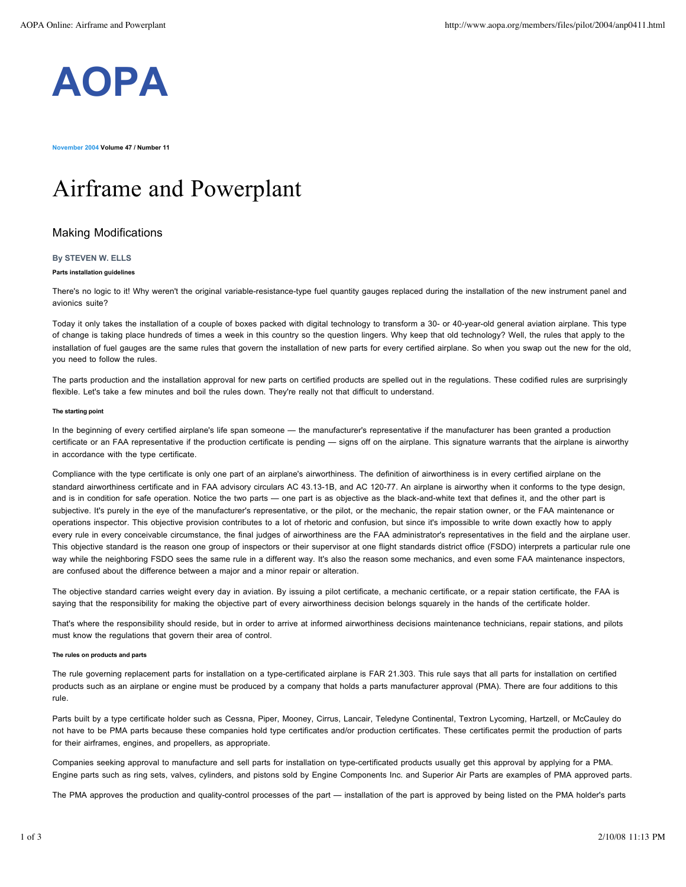

**November 2004 Volume 47 / Number 11**

# Airframe and Powerplant

# Making Modifications

#### **By STEVEN W. ELLS**

## **Parts installation guidelines**

There's no logic to it! Why weren't the original variable-resistance-type fuel quantity gauges replaced during the installation of the new instrument panel and avionics suite?

Today it only takes the installation of a couple of boxes packed with digital technology to transform a 30- or 40-year-old general aviation airplane. This type of change is taking place hundreds of times a week in this country so the question lingers. Why keep that old technology? Well, the rules that apply to the installation of fuel gauges are the same rules that govern the installation of new parts for every certified airplane. So when you swap out the new for the old, you need to follow the rules.

The parts production and the installation approval for new parts on certified products are spelled out in the regulations. These codified rules are surprisingly flexible. Let's take a few minutes and boil the rules down. They're really not that difficult to understand.

#### **The starting point**

In the beginning of every certified airplane's life span someone — the manufacturer's representative if the manufacturer has been granted a production certificate or an FAA representative if the production certificate is pending — signs off on the airplane. This signature warrants that the airplane is airworthy in accordance with the type certificate.

Compliance with the type certificate is only one part of an airplane's airworthiness. The definition of airworthiness is in every certified airplane on the standard airworthiness certificate and in FAA advisory circulars AC 43.13-1B, and AC 120-77. An airplane is airworthy when it conforms to the type design, and is in condition for safe operation. Notice the two parts — one part is as objective as the black-and-white text that defines it, and the other part is subjective. It's purely in the eye of the manufacturer's representative, or the pilot, or the mechanic, the repair station owner, or the FAA maintenance or operations inspector. This objective provision contributes to a lot of rhetoric and confusion, but since it's impossible to write down exactly how to apply every rule in every conceivable circumstance, the final judges of airworthiness are the FAA administrator's representatives in the field and the airplane user. This objective standard is the reason one group of inspectors or their supervisor at one flight standards district office (FSDO) interprets a particular rule one way while the neighboring FSDO sees the same rule in a different way. It's also the reason some mechanics, and even some FAA maintenance inspectors, are confused about the difference between a major and a minor repair or alteration.

The objective standard carries weight every day in aviation. By issuing a pilot certificate, a mechanic certificate, or a repair station certificate, the FAA is saying that the responsibility for making the objective part of every airworthiness decision belongs squarely in the hands of the certificate holder.

That's where the responsibility should reside, but in order to arrive at informed airworthiness decisions maintenance technicians, repair stations, and pilots must know the regulations that govern their area of control.

#### **The rules on products and parts**

The rule governing replacement parts for installation on a type-certificated airplane is FAR 21.303. This rule says that all parts for installation on certified products such as an airplane or engine must be produced by a company that holds a parts manufacturer approval (PMA). There are four additions to this rule.

Parts built by a type certificate holder such as Cessna, Piper, Mooney, Cirrus, Lancair, Teledyne Continental, Textron Lycoming, Hartzell, or McCauley do not have to be PMA parts because these companies hold type certificates and/or production certificates. These certificates permit the production of parts for their airframes, engines, and propellers, as appropriate.

Companies seeking approval to manufacture and sell parts for installation on type-certificated products usually get this approval by applying for a PMA. Engine parts such as ring sets, valves, cylinders, and pistons sold by Engine Components Inc. and Superior Air Parts are examples of PMA approved parts.

The PMA approves the production and quality-control processes of the part — installation of the part is approved by being listed on the PMA holder's parts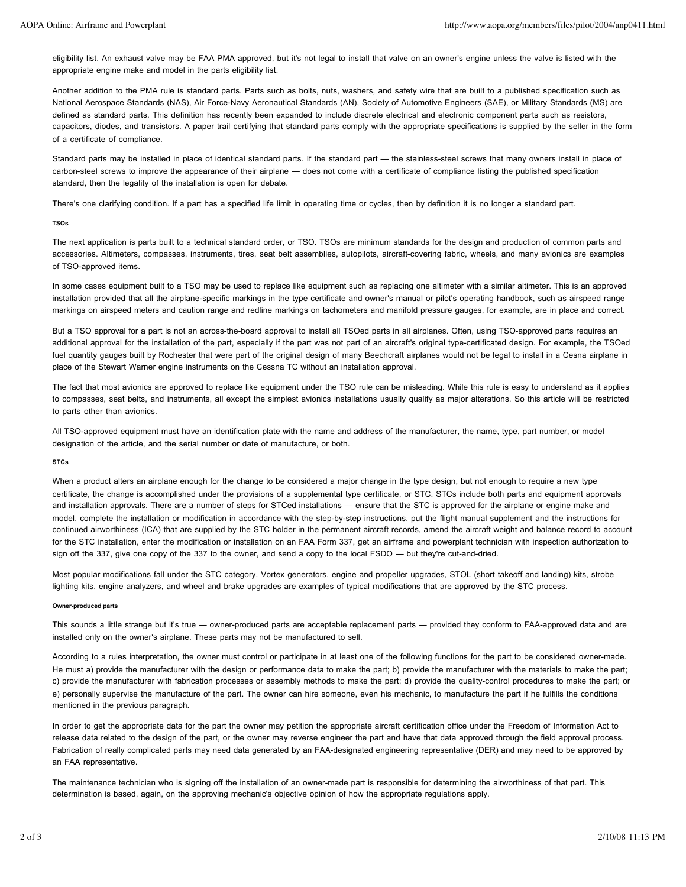eligibility list. An exhaust valve may be FAA PMA approved, but it's not legal to install that valve on an owner's engine unless the valve is listed with the appropriate engine make and model in the parts eligibility list.

Another addition to the PMA rule is standard parts. Parts such as bolts, nuts, washers, and safety wire that are built to a published specification such as National Aerospace Standards (NAS), Air Force-Navy Aeronautical Standards (AN), Society of Automotive Engineers (SAE), or Military Standards (MS) are defined as standard parts. This definition has recently been expanded to include discrete electrical and electronic component parts such as resistors, capacitors, diodes, and transistors. A paper trail certifying that standard parts comply with the appropriate specifications is supplied by the seller in the form of a certificate of compliance.

Standard parts may be installed in place of identical standard parts. If the standard part - the stainless-steel screws that many owners install in place of carbon-steel screws to improve the appearance of their airplane — does not come with a certificate of compliance listing the published specification standard, then the legality of the installation is open for debate.

There's one clarifying condition. If a part has a specified life limit in operating time or cycles, then by definition it is no longer a standard part.

#### **TSOs**

The next application is parts built to a technical standard order, or TSO. TSOs are minimum standards for the design and production of common parts and accessories. Altimeters, compasses, instruments, tires, seat belt assemblies, autopilots, aircraft-covering fabric, wheels, and many avionics are examples of TSO-approved items.

In some cases equipment built to a TSO may be used to replace like equipment such as replacing one altimeter with a similar altimeter. This is an approved installation provided that all the airplane-specific markings in the type certificate and owner's manual or pilot's operating handbook, such as airspeed range markings on airspeed meters and caution range and redline markings on tachometers and manifold pressure gauges, for example, are in place and correct.

But a TSO approval for a part is not an across-the-board approval to install all TSOed parts in all airplanes. Often, using TSO-approved parts requires an additional approval for the installation of the part, especially if the part was not part of an aircraft's original type-certificated design. For example, the TSOed fuel quantity gauges built by Rochester that were part of the original design of many Beechcraft airplanes would not be legal to install in a Cesna airplane in place of the Stewart Warner engine instruments on the Cessna TC without an installation approval.

The fact that most avionics are approved to replace like equipment under the TSO rule can be misleading. While this rule is easy to understand as it applies to compasses, seat belts, and instruments, all except the simplest avionics installations usually qualify as major alterations. So this article will be restricted to parts other than avionics.

All TSO-approved equipment must have an identification plate with the name and address of the manufacturer, the name, type, part number, or model designation of the article, and the serial number or date of manufacture, or both.

## **STCs**

When a product alters an airplane enough for the change to be considered a major change in the type design, but not enough to require a new type certificate, the change is accomplished under the provisions of a supplemental type certificate, or STC. STCs include both parts and equipment approvals and installation approvals. There are a number of steps for STCed installations — ensure that the STC is approved for the airplane or engine make and model, complete the installation or modification in accordance with the step-by-step instructions, put the flight manual supplement and the instructions for continued airworthiness (ICA) that are supplied by the STC holder in the permanent aircraft records, amend the aircraft weight and balance record to account for the STC installation, enter the modification or installation on an FAA Form 337, get an airframe and powerplant technician with inspection authorization to sign off the 337, give one copy of the 337 to the owner, and send a copy to the local FSDO — but they're cut-and-dried.

Most popular modifications fall under the STC category. Vortex generators, engine and propeller upgrades, STOL (short takeoff and landing) kits, strobe lighting kits, engine analyzers, and wheel and brake upgrades are examples of typical modifications that are approved by the STC process.

#### **Owner-produced parts**

This sounds a little strange but it's true — owner-produced parts are acceptable replacement parts — provided they conform to FAA-approved data and are installed only on the owner's airplane. These parts may not be manufactured to sell.

According to a rules interpretation, the owner must control or participate in at least one of the following functions for the part to be considered owner-made. He must a) provide the manufacturer with the design or performance data to make the part; b) provide the manufacturer with the materials to make the part; c) provide the manufacturer with fabrication processes or assembly methods to make the part; d) provide the quality-control procedures to make the part; or e) personally supervise the manufacture of the part. The owner can hire someone, even his mechanic, to manufacture the part if he fulfills the conditions mentioned in the previous paragraph.

In order to get the appropriate data for the part the owner may petition the appropriate aircraft certification office under the Freedom of Information Act to release data related to the design of the part, or the owner may reverse engineer the part and have that data approved through the field approval process. Fabrication of really complicated parts may need data generated by an FAA-designated engineering representative (DER) and may need to be approved by an FAA representative.

The maintenance technician who is signing off the installation of an owner-made part is responsible for determining the airworthiness of that part. This determination is based, again, on the approving mechanic's objective opinion of how the appropriate regulations apply.